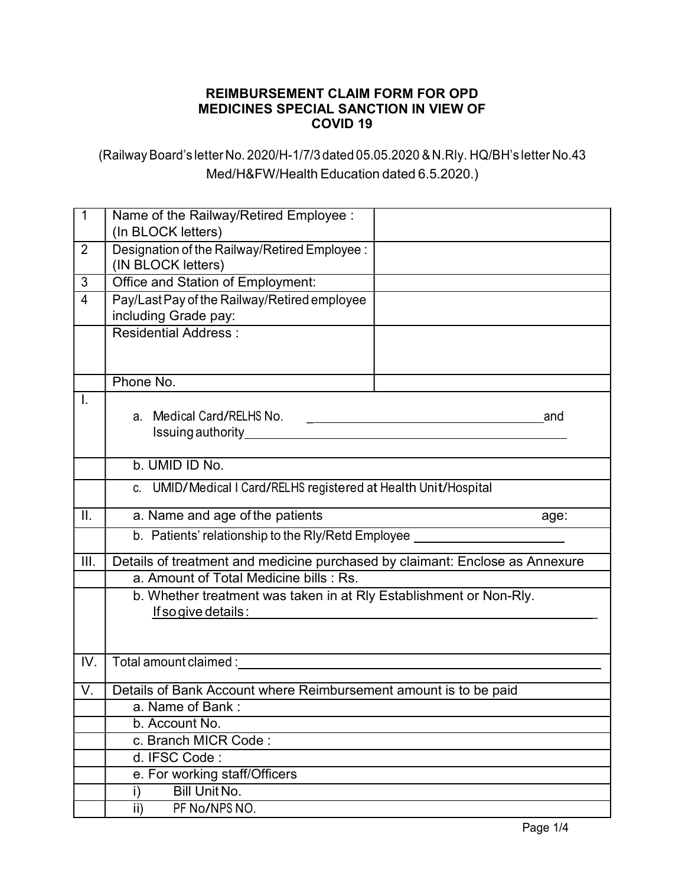## REIMBURSEMENT CLAIM FORM FOR OPD MEDICINES SPECIAL SANCTION IN VIEW OF COVID 19

(Railway Board's letter No. 2020/H-1/7/3 dated 05.05.2020 & N.Rly. HQ/BH's letter No.43 Med/H&FW/Health Education dated 6.5.2020.)

| $\mathbf{1}$    | Name of the Railway/Retired Employee :                                                        |                                                                                                                                                                                                                                      |     |  |
|-----------------|-----------------------------------------------------------------------------------------------|--------------------------------------------------------------------------------------------------------------------------------------------------------------------------------------------------------------------------------------|-----|--|
|                 | (In BLOCK letters)                                                                            |                                                                                                                                                                                                                                      |     |  |
| $\overline{2}$  | Designation of the Railway/Retired Employee :<br>(IN BLOCK letters)                           |                                                                                                                                                                                                                                      |     |  |
| 3               | Office and Station of Employment:                                                             |                                                                                                                                                                                                                                      |     |  |
| 4               | Pay/Last Pay of the Railway/Retired employee                                                  |                                                                                                                                                                                                                                      |     |  |
|                 | including Grade pay:                                                                          |                                                                                                                                                                                                                                      |     |  |
|                 | <b>Residential Address:</b>                                                                   |                                                                                                                                                                                                                                      |     |  |
|                 | Phone No.                                                                                     |                                                                                                                                                                                                                                      |     |  |
| I.              | a. Medical Card/RELHS No.                                                                     | <u> De Carlos de la componentación de la componentación de la componentación de la componentación de la componentación de la componentación de la componentación de la componentación de la componentación de la componentación </u> | and |  |
|                 | b. UMID ID No.                                                                                |                                                                                                                                                                                                                                      |     |  |
|                 | c. UMID/Medical I Card/RELHS registered at Health Unit/Hospital                               |                                                                                                                                                                                                                                      |     |  |
| $\mathbf{II}$ . | a. Name and age of the patients<br>age:                                                       |                                                                                                                                                                                                                                      |     |  |
|                 | b. Patients' relationship to the Rly/Retd Employee <b>contains the Control of August</b> 2014 |                                                                                                                                                                                                                                      |     |  |
| III.            | Details of treatment and medicine purchased by claimant: Enclose as Annexure                  |                                                                                                                                                                                                                                      |     |  |
|                 | a. Amount of Total Medicine bills : Rs.                                                       |                                                                                                                                                                                                                                      |     |  |
|                 | b. Whether treatment was taken in at Rly Establishment or Non-Rly.                            |                                                                                                                                                                                                                                      |     |  |
|                 | If so give details :                                                                          |                                                                                                                                                                                                                                      |     |  |
|                 |                                                                                               |                                                                                                                                                                                                                                      |     |  |
| IV.             |                                                                                               |                                                                                                                                                                                                                                      |     |  |
| V.              | Details of Bank Account where Reimbursement amount is to be paid                              |                                                                                                                                                                                                                                      |     |  |
|                 | a. Name of Bank:                                                                              |                                                                                                                                                                                                                                      |     |  |
|                 | b. Account No.                                                                                |                                                                                                                                                                                                                                      |     |  |
|                 | c. Branch MICR Code:                                                                          |                                                                                                                                                                                                                                      |     |  |
|                 | d. IFSC Code:                                                                                 |                                                                                                                                                                                                                                      |     |  |
|                 | e. For working staff/Officers                                                                 |                                                                                                                                                                                                                                      |     |  |
|                 | <b>Bill Unit No.</b><br>i)                                                                    |                                                                                                                                                                                                                                      |     |  |
|                 | PF No/NPS NO.<br>ii)                                                                          |                                                                                                                                                                                                                                      |     |  |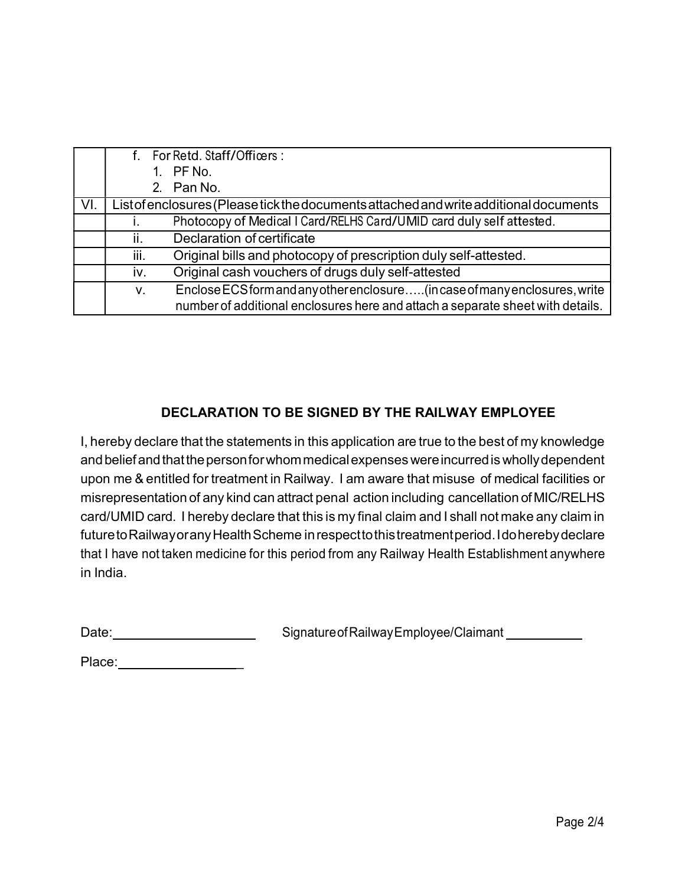|     |                                                                                       | f. For Retd. Staff/Officers:                                                                                                                                  |
|-----|---------------------------------------------------------------------------------------|---------------------------------------------------------------------------------------------------------------------------------------------------------------|
|     |                                                                                       | 1. PF No.                                                                                                                                                     |
|     |                                                                                       | 2. Pan No.                                                                                                                                                    |
| VI. | List of enclosures (Please tick the documents attached and write additional documents |                                                                                                                                                               |
|     |                                                                                       | Photocopy of Medical I Card/RELHS Card/UMID card duly self attested.                                                                                          |
|     |                                                                                       | Declaration of certificate                                                                                                                                    |
|     | iii.                                                                                  | Original bills and photocopy of prescription duly self-attested.                                                                                              |
|     | iv.                                                                                   | Original cash vouchers of drugs duly self-attested                                                                                                            |
|     | V.                                                                                    | Enclose ECS form and any other enclosure (in case of many enclosures, write<br>number of additional enclosures here and attach a separate sheet with details. |

## DECLARATION TO BE SIGNED BY THE RAILWAY EMPLOYEE

I, hereby declare that the statements in this application are true to the best of my knowledge and belief and that the person for whom medical expenses were incurred is wholly dependent upon me & entitled for treatment in Railway. I am aware that misuse of medical facilities or misrepresentation of any kind can attract penal action including cancellation of MIC/RELHS card/UMID card. I hereby declare that this is my final claim and I shall not make any claim in future to Railway or any Health Scheme in respect to this treatment period. I do hereby declare that I have not taken medicine for this period from any Railway Health Establishment anywhere in India.

| Date: | Signature of Railway Employee/Claimant |
|-------|----------------------------------------|
|       |                                        |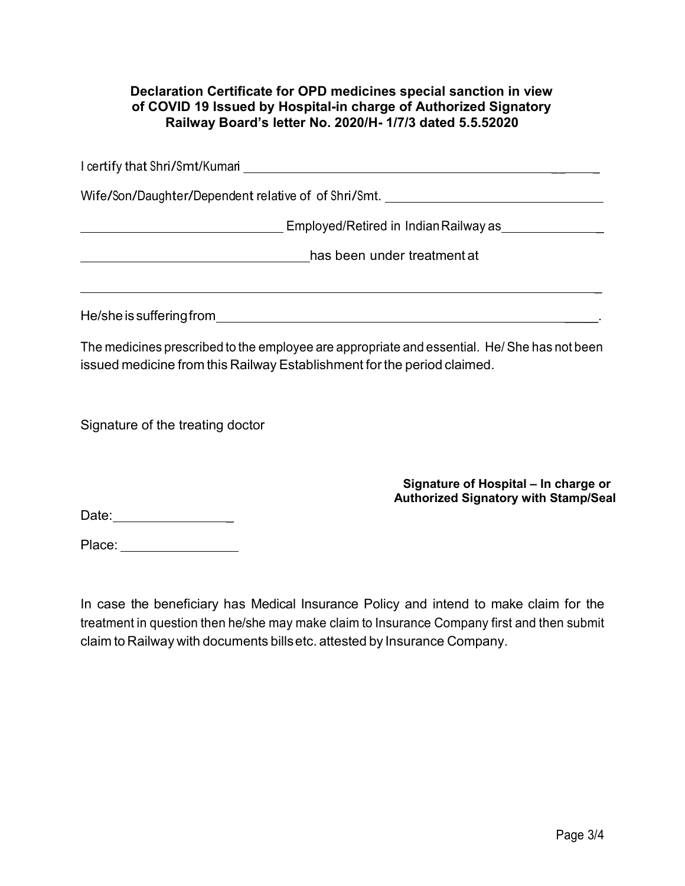## Declaration Certificate for OPD medicines special sanction in view of COVID 19 Issued by Hospital-in charge of Authorized Signatory Railway Board's letter No. 2020/H- 1/7/3 dated 5.5.52020

| I certify that Shri/Smt/Kumari<br><u> 1980 - John Stein, Amerikaansk politiker (* 1900)</u> |  |
|---------------------------------------------------------------------------------------------|--|
| Wife/Son/Daughter/Dependent relative of of Shri/Smt.                                        |  |
| Employed/Retired in Indian Railway as <b>Employed</b>                                       |  |
| has been under treatment at                                                                 |  |
|                                                                                             |  |
| He/she is suffering from                                                                    |  |

The medicines prescribed to the employee are appropriate and essential. He/ She has not been issued medicine from this Railway Establishment for the period claimed.

Signature of the treating doctor

Signature of Hospital – In charge or Authorized Signatory with Stamp/Seal

Date: \_

Place: \_\_\_\_\_\_\_\_\_\_\_\_\_\_\_\_\_\_

In case the beneficiary has Medical Insurance Policy and intend to make claim for the treatment in question then he/she may make claim to Insurance Company first and then submit claim to Railway with documents bills etc. attested by Insurance Company.